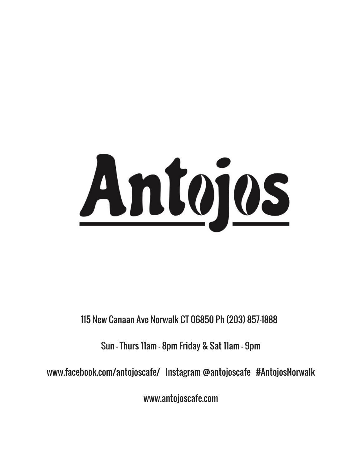# Antojos

115 New Canaan Ave Norwalk CT 06850 Ph (203) 857-1888

Sun - Thurs 11am - 8pm Friday & Sat 11am - 9pm

www.facebook.com/antojoscafe/ Instagram @antojoscafe #AntojosNorwalk

www.antojoscafe.com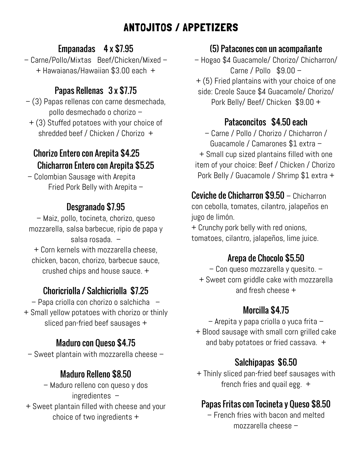# ANTOJITOS / APPETIZERS

#### Empanadas 4 x \$7.95

– Carne/Pollo/Mixtas Beef/Chicken/Mixed – + Hawaianas/Hawaiian \$3.00 each +

#### Papas Rellenas 3 x \$7.75

– (3) Papas rellenas con carne desmechada, pollo desmechado o chorizo –

+ (3) Stuffed potatoes with your choice of shredded beef / Chicken / Chorizo +

#### Chorizo Entero con Arepita \$4.25 Chicharron Entero con Arepita \$5.25

– Colombian Sausage with Arepita Fried Pork Belly with Arepita –

### Desgranado \$7.95

– Maiz, pollo, tocineta, chorizo, queso mozzarella, salsa barbecue, ripio de papa y salsa rosada. –

+ Corn kernels with mozzarella cheese, chicken, bacon, chorizo, barbecue sauce, crushed chips and house sauce. +

#### Choricriolla / Salchicriolla \$7.25 and fresh cheese +

– Papa criolla con chorizo o salchicha – + Small yellow potatoes with chorizo or thinly sliced pan-fried beef sausages +

– Sweet plantain with mozzarella cheese –

#### Maduro Relleno \$8.50

– Maduro relleno con queso y dos ingredientes – + Sweet plantain filled with cheese and your choice of two ingredients +

#### (5) Patacones con un acompañante

– Hogao \$4 Guacamole/ Chorizo/ Chicharron/ Carne / Pollo \$9.00 – + (5) Fried plantains with your choice of one side: Creole Sauce \$4 Guacamole/ Chorizo/ Pork Belly/ Beef/ Chicken \$9.00 +

#### Pataconcitos \$4.50 each

– Carne / Pollo / Chorizo / Chicharron / Guacamole / Camarones \$1 extra – + Small cup sized plantains filled with one item of your choice: Beef / Chicken / Chorizo Pork Belly / Guacamole / Shrimp \$1 extra +

Ceviche de Chicharron \$9.50 – Chicharron con cebolla, tomates, cilantro, jalapeños en jugo de limón.

+ Crunchy pork belly with red onions, tomatoes, cilantro, jalapeños, lime juice.

#### Arepa de Chocolo \$5.50

– Con queso mozzarella y quesito. – + Sweet corn griddle cake with mozzarella

#### Morcilla \$4.75

– Arepita y papa criolla o yuca frita – + Blood sausage with small corn grilled cake Maduro con Queso \$4.75 and baby potatoes or fried cassava. +

#### Salchipapas \$6.50

+ Thinly sliced pan-fried beef sausages with french fries and quail egg. +

#### Papas Fritas con Tocineta y Queso \$8.50

– French fries with bacon and melted mozzarella cheese –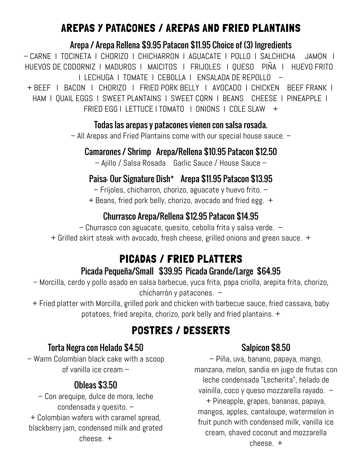# AREPAS Y PATACONES / AREPAS AND FRIED PLANTAINS

#### Arepa / Arepa Rellena \$9.95 Patacon \$11.95 Choice of (3) Ingredients

– CARNE I TOCINETA I CHORIZO I CHICHARRON I AGUACATE I POLLO I SALCHICHA JAMON I HUEVOS DE CODORNIZ I MADUROS I MAICITOS I FRIJOLES I QUESO PIÑA I HUEVO FRITO I LECHUGA I TOMATE I CEBOLLA I ENSALADA DE REPOLLO –

+ BEEF I BACON I CHORIZO I FRIED PORK BELLY I AVOCADO I CHICKEN BEEF FRANK I HAM I QUAIL EGGS I SWEET PLANTAINS I SWEET CORN I BEANS CHEESE I PINEAPPLE I FRIED EGG I LETTUCE I TOMATO I ONIONS I COLE SLAW +

#### Todas las arepas y patacones vienen con salsa rosada.

– All Arepas and Fried Plantains come with our special house sauce. –

#### Camarones / Shrimp Arepa/Rellena \$10.95 Patacon \$12.50

– Ajillo / Salsa Rosada Garlic Sauce / House Sauce –

#### Paisa- Our Signature Dish\* Arepa \$11.95 Patacon \$13.95

– Frijoles, chicharron, chorizo, aguacate y huevo frito. –

+ Beans, fried pork belly, chorizo, avocado and fried egg. +

#### Churrasco Arepa/Rellena \$12.95 Patacon \$14.95

– Churrasco con aguacate, quesito, cebolla frita y salsa verde. –

+ Grilled skirt steak with avocado, fresh cheese, grilled onions and green sauce. +

# PICADAS / FRIED PLATTERS

#### Picada Pequeña/Small \$39.95 Picada Grande/Large \$64.95

– Morcilla, cerdo y pollo asado en salsa barbecue, yuca frita, papa criolla, arepita frita, chorizo, chicharrón y patacones. –

+ Fried platter with Morcilla, grilled pork and chicken with barbecue sauce, fried cassava, baby potatoes, fried arepita, chorizo, pork belly and fried plantains. +

# POSTRES / DESSERTS

#### Torta Negra con Helado \$4.50

– Warm Colombian black cake with a scoop of vanilla ice cream –

#### Obleas \$3.50

– Con arequipe, dulce de mora, leche condensada y quesito. – + Colombian wafers with caramel spread, blackberry jam, condensed milk and grated cheese. +

#### Salpicon \$8.50

– Piña, uva, banano, papaya, mango, manzana, melon, sandia en jugo de frutas con leche condensada "Lecherita", helado de vainilla, coco y queso mozzarella rayado. – + Pineapple, grapes, bananas, papaya,

mangos, apples, cantaloupe, watermelon in fruit punch with condensed milk, vanilla ice cream, shaved coconut and mozzarella cheese. +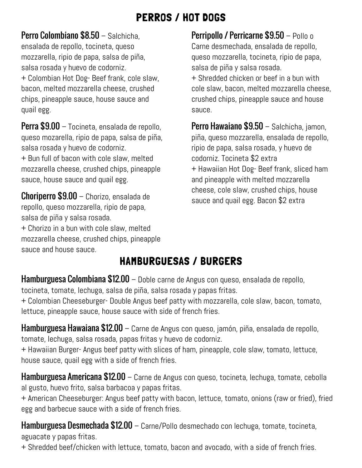## PERROS / HOT DOGS

Perro Colombiano \$8.50 - Salchicha, ensalada de repollo, tocineta, queso mozzarella, ripio de papa, salsa de piña, salsa rosada y huevo de codorniz. + Colombian Hot Dog- Beef frank, cole slaw, bacon, melted mozzarella cheese, crushed chips, pineapple sauce, house sauce and quail egg.

Perra \$9.00 – Tocineta, ensalada de repollo, queso mozarella, ripio de papa, salsa de piña, salsa rosada y huevo de codorniz.

+ Bun full of bacon with cole slaw, melted mozzarella cheese, crushed chips, pineapple sauce, house sauce and quail egg.

**Choriperro \$9.00** – Chorizo, ensalada de sauce and quail egg. Bacon \$2 extra repollo, queso mozzarella, ripio de papa, salsa de piña y salsa rosada.

+ Chorizo in a bun with cole slaw, melted mozzarella cheese, crushed chips, pineapple sauce and house sauce.

Perripollo / Perricarne \$9.50 – Pollo o Carne desmechada, ensalada de repollo, queso mozzarella, tocineta, ripio de papa, salsa de piña y salsa rosada. + Shredded chicken or beef in a bun with cole slaw, bacon, melted mozzarella cheese, crushed chips, pineapple sauce and house sauce.

Perro Hawaiano \$9.50 - Salchicha, jamon, piña, queso mozzarella, ensalada de repollo, ripio de papa, salsa rosada, y huevo de codorniz. Tocineta \$2 extra + Hawaiian Hot Dog- Beef frank, sliced ham and pineapple with melted mozzarella cheese, cole slaw, crushed chips, house

# HAMBURGUESAS / BURGERS

Hamburguesa Colombiana \$12.00 - Doble carne de Angus con queso, ensalada de repollo, tocineta, tomate, lechuga, salsa de piña, salsa rosada y papas fritas.

+ Colombian Cheeseburger- Double Angus beef patty with mozzarella, cole slaw, bacon, tomato, lettuce, pineapple sauce, house sauce with side of french fries.

Hamburguesa Hawaiana \$12.00 – Carne de Angus con queso, jamón, piña, ensalada de repollo, tomate, lechuga, salsa rosada, papas fritas y huevo de codorniz.

+ Hawaiian Burger- Angus beef patty with slices of ham, pineapple, cole slaw, tomato, lettuce, house sauce, quail egg with a side of french fries.

**Hamburguesa Americana \$12.00** – Carne de Angus con queso, tocineta, lechuga, tomate, cebolla al gusto, huevo frito, salsa barbacoa y papas fritas.

+ American Cheeseburger: Angus beef patty with bacon, lettuce, tomato, onions (raw or fried), fried egg and barbecue sauce with a side of french fries.

Hamburguesa Desmechada \$12.00 - Carne/Pollo desmechado con lechuga, tomate, tocineta, aguacate y papas fritas.

+ Shredded beef/chicken with lettuce, tomato, bacon and avocado, with a side of french fries.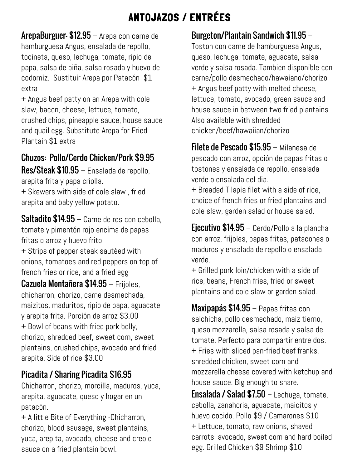# ANTOJAZOS / ENTRÉES

ArepaBurguer- \$12.95 – Arepa con carne de hamburguesa Angus, ensalada de repollo, tocineta, queso, lechuga, tomate, ripio de papa, salsa de piña, salsa rosada y huevo de codorniz. Sustituir Arepa por Patacón \$1 extra

+ Angus beef patty on an Arepa with cole slaw, bacon, cheese, lettuce, tomato, crushed chips, pineapple sauce, house sauce and quail egg. Substitute Arepa for Fried Plantain \$1 extra

#### Chuzos: Pollo/Cerdo Chicken/Pork \$9.95

Res/Steak \$10.95 – Ensalada de repollo, arepita frita y papa criolla.

+ Skewers with side of cole slaw , fried arepita and baby yellow potato.

Saltadito \$14.95 – Carne de res con cebolla, tomate y pimentón rojo encima de papas fritas o arroz y huevo frito + Strips of pepper steak sautéed with onions, tomatoes and red peppers on top of french fries or rice, and a fried egg

Cazuela Montañera \$14.95 – Frijoles, chicharron, chorizo, carne desmechada, maizitos, maduritos, ripio de papa, aguacate y arepita frita. Porción de arroz \$3.00 + Bowl of beans with fried pork belly, chorizo, shredded beef, sweet corn, sweet plantains, crushed chips, avocado and fried arepita. Side of rice \$3.00

Chicharron, chorizo, morcilla, maduros, yuca, arepita, aguacate, queso y hogar en un patacón.

+ A little Bite of Everything -Chicharron, chorizo, blood sausage, sweet plantains, yuca, arepita, avocado, cheese and creole sauce on a fried plantain bowl.

#### Burgeton/Plantain Sandwich \$11.95 –

Toston con carne de hamburguesa Angus, queso, lechuga, tomate, aguacate, salsa verde y salsa rosada. Tambien disponible con carne/pollo desmechado/hawaiano/chorizo + Angus beef patty with melted cheese, lettuce, tomato, avocado, green sauce and house sauce in between two fried plantains. Also available with shredded chicken/beef/hawaiian/chorizo

Filete de Pescado \$15.95 – Milanesa de pescado con arroz, opción de papas fritas o tostones y ensalada de repollo, ensalada verde o ensalada del dia.

+ Breaded Tilapia filet with a side of rice, choice of french fries or fried plantains and cole slaw, garden salad or house salad.

Ejecutivo \$14.95 – Cerdo/Pollo a la plancha con arroz, frijoles, papas fritas, patacones o maduros y ensalada de repollo o ensalada verde.

+ Grilled pork loin/chicken with a side of rice, beans, French fries, fried or sweet plantains and cole slaw or garden salad.

Maxipapás \$14.95 – Papas fritas con salchicha, pollo desmechado, maiz tierno, queso mozzarella, salsa rosada y salsa de tomate. Perfecto para compartir entre dos. + Fries with sliced pan-fried beef franks, shredded chicken, sweet corn and mozzarella cheese covered with ketchup and **Picadita / Sharing Picadita \$16.95** – mozzarella cheese covered with ke<br>Chicharron, charize, marcilla, madures, vues house sauce. Big enough to share.

> **Ensalada / Salad \$7.50** – Lechuga, tomate, cebolla, zanahoria, aguacate, maicitos y huevo cocido. Pollo \$9 / Camarones \$10 + Lettuce, tomato, raw onions, shaved carrots, avocado, sweet corn and hard boiled egg. Grilled Chicken \$9 Shrimp \$10